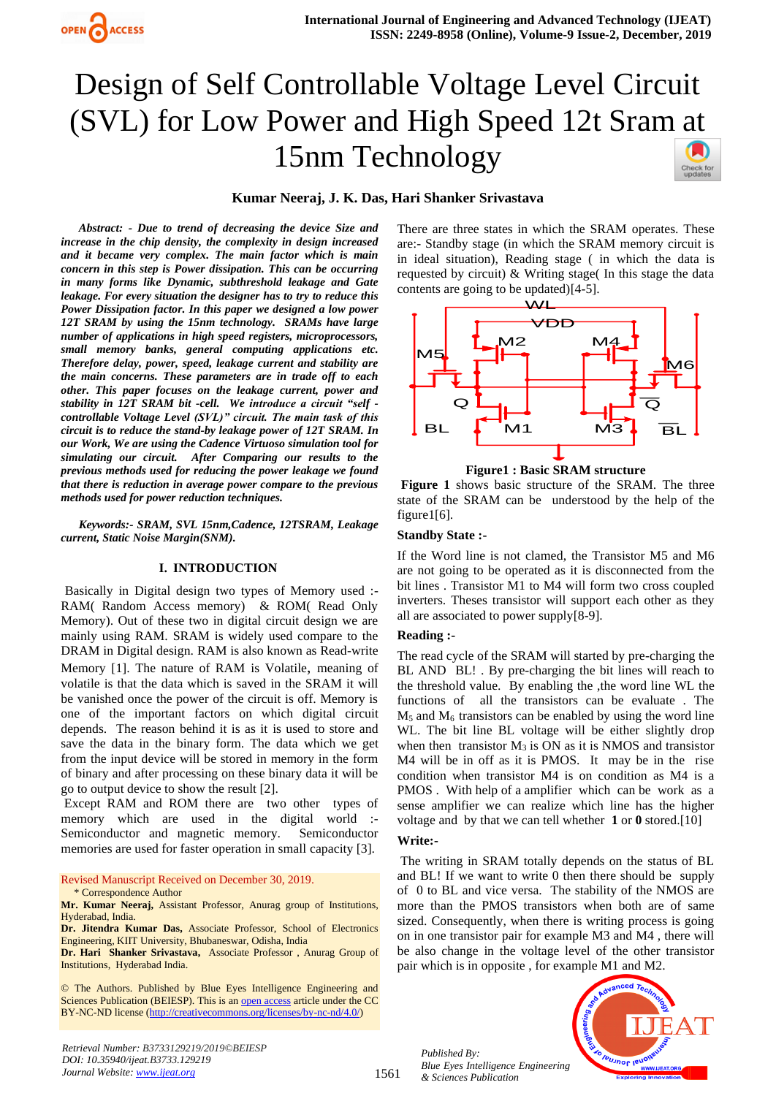

# Design of Self Controllable Voltage Level Circuit (SVL) for Low Power and High Speed 12t Sram at 15nm Technology



# **Kumar Neeraj, J. K. Das, Hari Shanker Srivastava**

*Abstract: - Due to trend of decreasing the device Size and increase in the chip density, the complexity in design increased and it became very complex. The main factor which is main concern in this step is Power dissipation. This can be occurring in many forms like Dynamic, subthreshold leakage and Gate leakage. For every situation the designer has to try to reduce this Power Dissipation factor. In this paper we designed a low power 12T SRAM by using the 15nm technology. SRAMs have large number of applications in high speed registers, microprocessors, small memory banks, general computing applications etc. Therefore delay, power, speed, leakage current and stability are the main concerns. These parameters are in trade off to each other. This paper focuses on the leakage current, power and stability in 12T SRAM bit -cell. We introduce a circuit "self controllable Voltage Level (SVL)" circuit. The main task of this circuit is to reduce the stand-by leakage power of 12T SRAM. In our Work, We are using the Cadence Virtuoso simulation tool for simulating our circuit. After Comparing our results to the previous methods used for reducing the power leakage we found that there is reduction in average power compare to the previous methods used for power reduction techniques.* 

*Keywords:- SRAM, SVL 15nm,Cadence, 12TSRAM, Leakage current, Static Noise Margin(SNM).*

### **I. INTRODUCTION**

Basically in Digital design two types of Memory used :- RAM( Random Access memory) & ROM( Read Only Memory). Out of these two in digital circuit design we are mainly using RAM. SRAM is widely used compare to the DRAM in Digital design. RAM is also known as Read-write Memory [1]. The nature of RAM is Volatile, meaning of volatile is that the data which is saved in the SRAM it will be vanished once the power of the circuit is off. Memory is one of the important factors on which digital circuit depends. The reason behind it is as it is used to store and save the data in the binary form. The data which we get from the input device will be stored in memory in the form of binary and after processing on these binary data it will be go to output device to show the result [2].

Except RAM and ROM there are two other types of memory which are used in the digital world :- Semiconductor and magnetic memory. Semiconductor memories are used for faster operation in small capacity [3].

Revised Manuscript Received on December 30, 2019. \* Correspondence Author

**Dr. Jitendra Kumar Das,** Associate Professor, School of Electronics Engineering, KIIT University, Bhubaneswar, Odisha, India

**Dr. Hari Shanker Srivastava,** Associate Professor , Anurag Group of Institutions, Hyderabad India.

© The Authors. Published by Blue Eyes Intelligence Engineering and Sciences Publication (BEIESP). This is a[n open access](https://www.openaccess.nl/en/open-publications) article under the CC BY-NC-ND license [\(http://creativecommons.org/licenses/by-nc-nd/4.0/\)](http://creativecommons.org/licenses/by-nc-nd/4.0/)

There are three states in which the SRAM operates. These are:- Standby stage (in which the SRAM memory circuit is in ideal situation), Reading stage ( in which the data is requested by circuit) & Writing stage( In this stage the data contents are going to be updated)[4-5].



**Figure1 : Basic SRAM structure**

**Figure 1** shows basic structure of the SRAM. The three state of the SRAM can be understood by the help of the figure1[6].

### **Standby State :-**

If the Word line is not clamed, the Transistor M5 and M6 are not going to be operated as it is disconnected from the bit lines . Transistor M1 to M4 will form two cross coupled inverters. Theses transistor will support each other as they all are associated to power supply[8-9].

## **Reading :-**

The read cycle of the SRAM will started by pre-charging the BL AND BL! . By pre-charging the bit lines will reach to the threshold value. By enabling the ,the word line WL the functions of all the transistors can be evaluate . The  $M<sub>5</sub>$  and  $M<sub>6</sub>$  transistors can be enabled by using the word line WL. The bit line BL voltage will be either slightly drop when then transistor  $M_3$  is ON as it is NMOS and transistor M4 will be in off as it is PMOS. It may be in the rise condition when transistor M4 is on condition as M4 is a PMOS . With help of a amplifier which can be work as a sense amplifier we can realize which line has the higher voltage and by that we can tell whether **1** or **0** stored.[10]

#### **Write:-**

The writing in SRAM totally depends on the status of BL and BL! If we want to write 0 then there should be supply of 0 to BL and vice versa. The stability of the NMOS are more than the PMOS transistors when both are of same sized. Consequently, when there is writing process is going on in one transistor pair for example M3 and M4 , there will be also change in the voltage level of the other transistor pair which is in opposite , for example M1 and M2.



*Published By:*

*& Sciences Publication* 

**Mr. Kumar Neeraj,** Assistant Professor, Anurag group of Institutions, Hyderabad, India.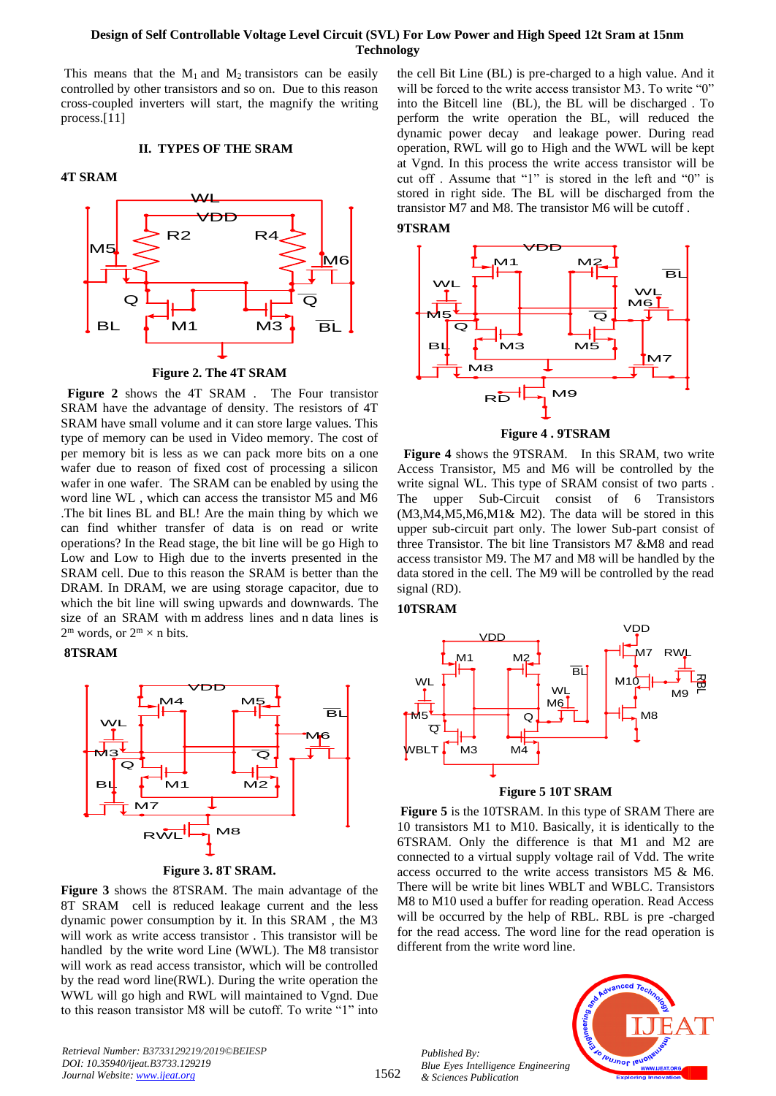# **Design of Self Controllable Voltage Level Circuit (SVL) For Low Power and High Speed 12t Sram at 15nm Technology**

This means that the  $M_1$  and  $M_2$  transistors can be easily controlled by other transistors and so on. Due to this reason cross-coupled inverters will start, the magnify the writing process.[11]

#### **II. TYPES OF THE SRAM**

#### **4T SRAM**



**Figure 2. The 4T SRAM**

 **Figure 2** shows the 4T SRAM . The Four transistor SRAM have the advantage of density. The resistors of 4T SRAM have small volume and it can store large values. This type of memory can be used in Video memory. The cost of per memory bit is less as we can pack more bits on a one wafer due to reason of fixed cost of processing a silicon wafer in one wafer. The SRAM can be enabled by using the word line WL , which can access the transistor M5 and M6 .The bit lines BL and BL! Are the main thing by which we can find whither transfer of data is on read or write operations? In the Read stage, the bit line will be go High to Low and Low to High due to the inverts presented in the SRAM cell. Due to this reason the SRAM is better than the DRAM. In DRAM, we are using storage capacitor, due to which the bit line will swing upwards and downwards. The size of an SRAM with m address lines and n data lines is  $2^m$  words, or  $2^m \times n$  bits.

#### **8TSRAM**



**Figure 3. 8T SRAM.**

**Figure 3** shows the 8TSRAM. The main advantage of the 8T SRAM cell is reduced leakage current and the less dynamic power consumption by it. In this SRAM , the M3 will work as write access transistor . This transistor will be handled by the write word Line (WWL). The M8 transistor will work as read access transistor, which will be controlled by the read word line(RWL). During the write operation the WWL will go high and RWL will maintained to Vgnd. Due to this reason transistor M8 will be cutoff. To write "1" into

*Retrieval Number: B3733129219/2019©BEIESP DOI: 10.35940/ijeat.B3733.129219 Journal Website[: www.ijeat.org](http://www.ijeat.org/)*

the cell Bit Line (BL) is pre-charged to a high value. And it will be forced to the write access transistor M3. To write "0" into the Bitcell line (BL), the BL will be discharged . To perform the write operation the BL, will reduced the dynamic power decay and leakage power. During read operation, RWL will go to High and the WWL will be kept at Vgnd. In this process the write access transistor will be cut off . Assume that "1" is stored in the left and "0" is stored in right side. The BL will be discharged from the transistor M7 and M8. The transistor M6 will be cutoff .





**Figure 4 . 9TSRAM**

 **Figure 4** shows the 9TSRAM. In this SRAM, two write Access Transistor, M5 and M6 will be controlled by the write signal WL. This type of SRAM consist of two parts . The upper Sub-Circuit consist of 6 Transistors  $(M3,M4,M5,M6,M1\& M2)$ . The data will be stored in this upper sub-circuit part only. The lower Sub-part consist of three Transistor. The bit line Transistors M7 &M8 and read access transistor M9. The M7 and M8 will be handled by the data stored in the cell. The M9 will be controlled by the read signal (RD).

#### **10TSRAM**



#### **Figure 5 10T SRAM**

**Figure 5** is the 10TSRAM. In this type of SRAM There are 10 transistors M1 to M10. Basically, it is identically to the 6TSRAM. Only the difference is that M1 and M2 are connected to a virtual supply voltage rail of Vdd. The write access occurred to the write access transistors M5 & M6. There will be write bit lines WBLT and WBLC. Transistors M8 to M10 used a buffer for reading operation. Read Access will be occurred by the help of RBL. RBL is pre -charged for the read access. The word line for the read operation is different from the write word line.

*Published By: Blue Eyes Intelligence Engineering & Sciences Publication* 

1562

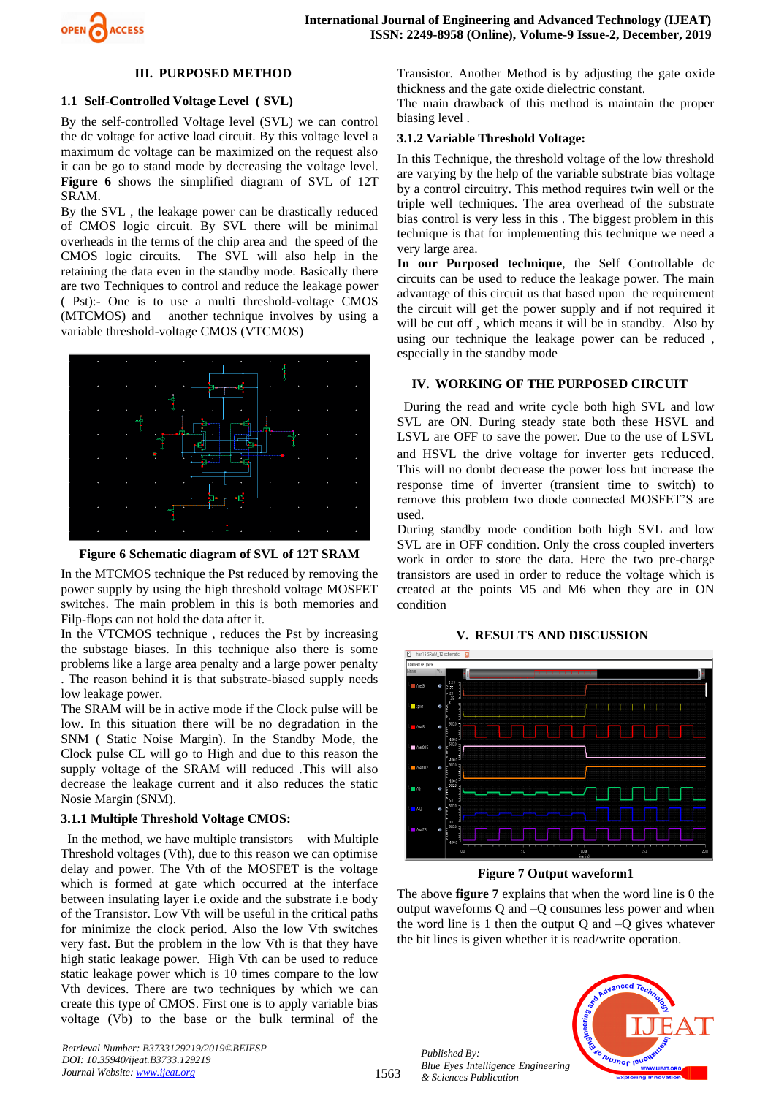

## **III. PURPOSED METHOD**

## **1.1 Self-Controlled Voltage Level ( SVL)**

By the self-controlled Voltage level (SVL) we can control the dc voltage for active load circuit. By this voltage level a maximum dc voltage can be maximized on the request also it can be go to stand mode by decreasing the voltage level. **Figure 6** shows the simplified diagram of SVL of 12T SRAM.

By the SVL , the leakage power can be drastically reduced of CMOS logic circuit. By SVL there will be minimal overheads in the terms of the chip area and the speed of the CMOS logic circuits. The SVL will also help in the retaining the data even in the standby mode. Basically there are two Techniques to control and reduce the leakage power ( Pst):- One is to use a multi threshold-voltage CMOS (MTCMOS) and another technique involves by using a variable threshold-voltage CMOS (VTCMOS)



**Figure 6 Schematic diagram of SVL of 12T SRAM**

In the MTCMOS technique the Pst reduced by removing the power supply by using the high threshold voltage MOSFET switches. The main problem in this is both memories and Filp-flops can not hold the data after it.

In the VTCMOS technique , reduces the Pst by increasing the substage biases. In this technique also there is some problems like a large area penalty and a large power penalty . The reason behind it is that substrate-biased supply needs low leakage power.

The SRAM will be in active mode if the Clock pulse will be low. In this situation there will be no degradation in the SNM ( Static Noise Margin). In the Standby Mode, the Clock pulse CL will go to High and due to this reason the supply voltage of the SRAM will reduced .This will also decrease the leakage current and it also reduces the static Nosie Margin (SNM).

# **3.1.1 Multiple Threshold Voltage CMOS:**

 In the method, we have multiple transistors with Multiple Threshold voltages (Vth), due to this reason we can optimise delay and power. The Vth of the MOSFET is the voltage which is formed at gate which occurred at the interface between insulating layer i.e oxide and the substrate i.e body of the Transistor. Low Vth will be useful in the critical paths for minimize the clock period. Also the low Vth switches very fast. But the problem in the low Vth is that they have high static leakage power. High Vth can be used to reduce static leakage power which is 10 times compare to the low Vth devices. There are two techniques by which we can create this type of CMOS. First one is to apply variable bias voltage (Vb) to the base or the bulk terminal of the

*Retrieval Number: B3733129219/2019©BEIESP DOI: 10.35940/ijeat.B3733.129219 Journal Website[: www.ijeat.org](http://www.ijeat.org/)*

Transistor. Another Method is by adjusting the gate oxide thickness and the gate oxide dielectric constant.

The main drawback of this method is maintain the proper biasing level .

## **3.1.2 Variable Threshold Voltage:**

In this Technique, the threshold voltage of the low threshold are varying by the help of the variable substrate bias voltage by a control circuitry. This method requires twin well or the triple well techniques. The area overhead of the substrate bias control is very less in this . The biggest problem in this technique is that for implementing this technique we need a very large area.

**In our Purposed technique**, the Self Controllable dc circuits can be used to reduce the leakage power. The main advantage of this circuit us that based upon the requirement the circuit will get the power supply and if not required it will be cut off , which means it will be in standby. Also by using our technique the leakage power can be reduced , especially in the standby mode

## **IV. WORKING OF THE PURPOSED CIRCUIT**

 During the read and write cycle both high SVL and low SVL are ON. During steady state both these HSVL and LSVL are OFF to save the power. Due to the use of LSVL and HSVL the drive voltage for inverter gets reduced. This will no doubt decrease the power loss but increase the response time of inverter (transient time to switch) to remove this problem two diode connected MOSFET'S are used.

During standby mode condition both high SVL and low SVL are in OFF condition. Only the cross coupled inverters work in order to store the data. Here the two pre-charge transistors are used in order to reduce the voltage which is created at the points M5 and M6 when they are in ON condition

#### **V. RESULTS AND DISCUSSION**



**Figure 7 Output waveform1**

The above **figure 7** explains that when the word line is 0 the output waveforms Q and –Q consumes less power and when the word line is 1 then the output  $O$  and  $-O$  gives whatever the bit lines is given whether it is read/write operation.



*Published By: Blue Eyes Intelligence Engineering & Sciences Publication* 

1563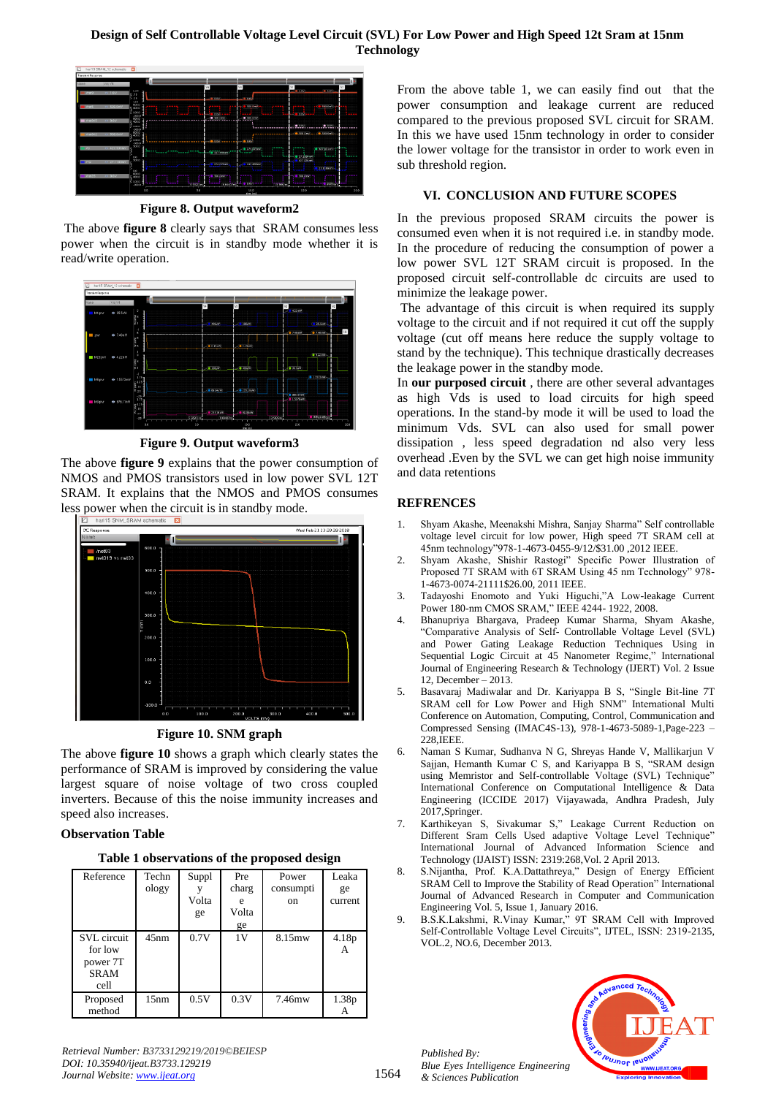# **Design of Self Controllable Voltage Level Circuit (SVL) For Low Power and High Speed 12t Sram at 15nm Technology**



**Figure 8. Output waveform2**

The above **figure 8** clearly says that SRAM consumes less power when the circuit is in standby mode whether it is read/write operation.



**Figure 9. Output waveform3**

The above **figure 9** explains that the power consumption of NMOS and PMOS transistors used in low power SVL 12T SRAM. It explains that the NMOS and PMOS consumes less power when the circuit is in standby mode.



**Figure 10. SNM graph**

The above **figure 10** shows a graph which clearly states the performance of SRAM is improved by considering the value largest square of noise voltage of two cross coupled inverters. Because of this the noise immunity increases and speed also increases.

# **Observation Table**

| Table 1 observations of the proposed design |  |  |  |
|---------------------------------------------|--|--|--|
|---------------------------------------------|--|--|--|

| Reference                                                 | Techn<br>ology | Suppl<br>Volta<br>ge | Pre<br>charg<br>e<br>Volta<br>ge | Power<br>consumpti<br><sub>on</sub> | Leaka<br>ge<br>current |
|-----------------------------------------------------------|----------------|----------------------|----------------------------------|-------------------------------------|------------------------|
| SVL circuit<br>for low<br>power 7T<br><b>SRAM</b><br>cell | 45nm           | 0.7V                 | 1V                               | 8.15mw                              | 4.18p<br>A             |
| Proposed<br>method                                        | 15nm           | 0.5V                 | 0.3V                             | 7.46mw                              | 1.38p<br>А             |

From the above table 1, we can easily find out that the power consumption and leakage current are reduced compared to the previous proposed SVL circuit for SRAM. In this we have used 15nm technology in order to consider the lower voltage for the transistor in order to work even in sub threshold region.

# **VI. CONCLUSION AND FUTURE SCOPES**

In the previous proposed SRAM circuits the power is consumed even when it is not required i.e. in standby mode. In the procedure of reducing the consumption of power a low power SVL 12T SRAM circuit is proposed. In the proposed circuit self-controllable dc circuits are used to minimize the leakage power.

The advantage of this circuit is when required its supply voltage to the circuit and if not required it cut off the supply voltage (cut off means here reduce the supply voltage to stand by the technique). This technique drastically decreases the leakage power in the standby mode.

In **our purposed circuit** , there are other several advantages as high Vds is used to load circuits for high speed operations. In the stand-by mode it will be used to load the minimum Vds. SVL can also used for small power dissipation , less speed degradation nd also very less overhead .Even by the SVL we can get high noise immunity and data retentions

# **REFRENCES**

- 1. Shyam Akashe, Meenakshi Mishra, Sanjay Sharma" Self controllable voltage level circuit for low power, High speed 7T SRAM cell at 45nm technology"978-1-4673-0455-9/12/\$31.00 ,2012 IEEE.
- 2. Shyam Akashe, Shishir Rastogi" Specific Power Illustration of Proposed 7T SRAM with 6T SRAM Using 45 nm Technology" 978- 1-4673-0074-21111\$26.00, 2011 IEEE.
- 3. Tadayoshi Enomoto and Yuki Higuchi,"A Low-leakage Current Power 180-nm CMOS SRAM," IEEE 4244- 1922, 2008.
- 4. Bhanupriya Bhargava, Pradeep Kumar Sharma, Shyam Akashe, "Comparative Analysis of Self- Controllable Voltage Level (SVL) and Power Gating Leakage Reduction Techniques Using in Sequential Logic Circuit at 45 Nanometer Regime," International Journal of Engineering Research & Technology (IJERT) Vol. 2 Issue 12, December – 2013.
- 5. Basavaraj Madiwalar and Dr. Kariyappa B S, "Single Bit-line 7T SRAM cell for Low Power and High SNM" International Multi Conference on Automation, Computing, Control, Communication and Compressed Sensing (IMAC4S-13), 978-1-4673-5089-1,Page-223 – 228,IEEE.
- 6. Naman S Kumar, Sudhanva N G, Shreyas Hande V, Mallikarjun V Sajjan, Hemanth Kumar C S, and Kariyappa B S, "SRAM design using Memristor and Self-controllable Voltage (SVL) Technique" International Conference on Computational Intelligence & Data Engineering (ICCIDE 2017) Vijayawada, Andhra Pradesh, July 2017,Springer.
- 7. Karthikeyan S, Sivakumar S," Leakage Current Reduction on Different Sram Cells Used adaptive Voltage Level Technique" International Journal of Advanced Information Science and Technology (IJAIST) ISSN: 2319:268,Vol. 2 April 2013.
- 8. S.Nijantha, Prof. K.A.Dattathreya," Design of Energy Efficient SRAM Cell to Improve the Stability of Read Operation" International Journal of Advanced Research in Computer and Communication Engineering Vol. 5, Issue 1, January 2016.
- 9. B.S.K.Lakshmi, R.Vinay Kumar," 9T SRAM Cell with Improved Self-Controllable Voltage Level Circuits", IJTEL, ISSN: 2319-2135, VOL.2, NO.6, December 2013.



*Retrieval Number: B3733129219/2019©BEIESP DOI: 10.35940/ijeat.B3733.129219 Journal Website[: www.ijeat.org](http://www.ijeat.org/)*

*Published By:*

*& Sciences Publication*